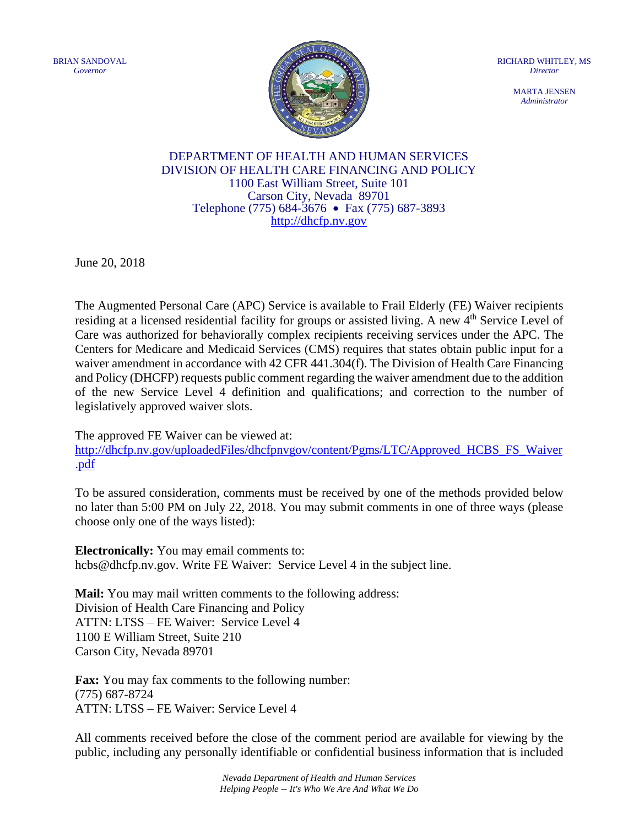BRIAN SANDOVAL *Governor*



RICHARD WHITLEY, MS *Director*

> MARTA JENSEN *Administrator*

## DEPARTMENT OF HEALTH AND HUMAN SERVICES DIVISION OF HEALTH CARE FINANCING AND POLICY 1100 East William Street, Suite 101 Carson City, Nevada 89701 Telephone (775) 684-3676 • Fax (775) 687-3893 [http://dhcfp.nv.gov](http://dhcfp.nv.gov/)

June 20, 2018

The Augmented Personal Care (APC) Service is available to Frail Elderly (FE) Waiver recipients residing at a licensed residential facility for groups or assisted living. A new 4th Service Level of Care was authorized for behaviorally complex recipients receiving services under the APC. The Centers for Medicare and Medicaid Services (CMS) requires that states obtain public input for a waiver amendment in accordance with 42 CFR 441.304(f). The Division of Health Care Financing and Policy (DHCFP) requests public comment regarding the waiver amendment due to the addition of the new Service Level 4 definition and qualifications; and correction to the number of legislatively approved waiver slots.

The approved FE Waiver can be viewed at:

http://dhcfp.nv.gov/uploadedFiles/dhcfpnvgov/content/Pgms/LTC/Approved HCBS FS Waiver [.pdf](http://dhcfp.nv.gov/uploadedFiles/dhcfpnvgov/content/Pgms/LTC/Approved_HCBS_FS_Waiver.pdf)

To be assured consideration, comments must be received by one of the methods provided below no later than 5:00 PM on July 22, 2018. You may submit comments in one of three ways (please choose only one of the ways listed):

**Electronically:** You may email comments to: hcbs@dhcfp.nv.gov. Write FE Waiver: Service Level 4 in the subject line.

**Mail:** You may mail written comments to the following address: Division of Health Care Financing and Policy ATTN: LTSS – FE Waiver: Service Level 4 1100 E William Street, Suite 210 Carson City, Nevada 89701

**Fax:** You may fax comments to the following number: (775) 687-8724 ATTN: LTSS – FE Waiver: Service Level 4

All comments received before the close of the comment period are available for viewing by the public, including any personally identifiable or confidential business information that is included